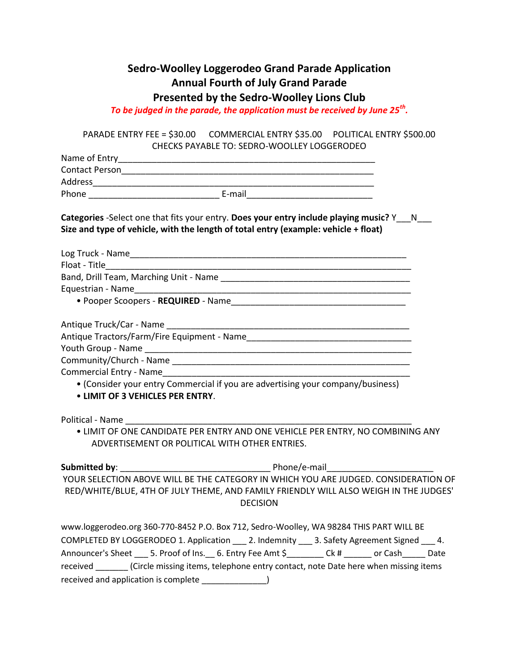## **Sedro-Woolley Loggerodeo Grand Parade Application Annual Fourth of July Grand Parade Presented by the Sedro-Woolley Lions Club**

*To be judged in the parade, the application must be received by June 25th .*

PARADE ENTRY FEE = \$30.00 COMMERCIAL ENTRY \$35.00 POLITICAL ENTRY \$500.00 CHECKS PAYABLE TO: SEDRO-WOOLLEY LOGGERODEO

|                                  | Categories -Select one that fits your entry. Does your entry include playing music? Y___N___<br>Size and type of vehicle, with the length of total entry (example: vehicle + float) |
|----------------------------------|-------------------------------------------------------------------------------------------------------------------------------------------------------------------------------------|
|                                  |                                                                                                                                                                                     |
|                                  |                                                                                                                                                                                     |
|                                  |                                                                                                                                                                                     |
|                                  |                                                                                                                                                                                     |
|                                  |                                                                                                                                                                                     |
|                                  |                                                                                                                                                                                     |
|                                  |                                                                                                                                                                                     |
|                                  |                                                                                                                                                                                     |
|                                  |                                                                                                                                                                                     |
|                                  |                                                                                                                                                                                     |
| • LIMIT OF 3 VEHICLES PER ENTRY. | • (Consider your entry Commercial if you are advertising your company/business)                                                                                                     |
|                                  |                                                                                                                                                                                     |
|                                  | . LIMIT OF ONE CANDIDATE PER ENTRY AND ONE VEHICLE PER ENTRY, NO COMBINING ANY<br>ADVERTISEMENT OR POLITICAL WITH OTHER ENTRIES.                                                    |
|                                  |                                                                                                                                                                                     |
|                                  | YOUR SELECTION ABOVE WILL BE THE CATEGORY IN WHICH YOU ARE JUDGED. CONSIDERATION OF                                                                                                 |
|                                  | RED/WHITE/BLUE, 4TH OF JULY THEME, AND FAMILY FRIENDLY WILL ALSO WEIGH IN THE JUDGES'<br><b>DECISION</b>                                                                            |
|                                  | www.loggerodeo.org 360-770-8452 P.O. Box 712, Sedro-Woolley, WA 98284 THIS PART WILL BE                                                                                             |
|                                  | COMPLETED BY LOGGERODEO 1. Application ___ 2. Indemnity ___ 3. Safety Agreement Signed ___ 4.                                                                                       |

Announcer's Sheet \_\_\_ 5. Proof of Ins. \_\_ 6. Entry Fee Amt \$\_\_\_\_\_\_\_ Ck # \_\_\_\_\_\_ or Cash\_\_\_\_\_ Date

received \_\_\_\_\_\_\_ (Circle missing items, telephone entry contact, note Date here when missing items received and application is complete \_\_\_\_\_\_\_\_\_\_\_\_\_\_)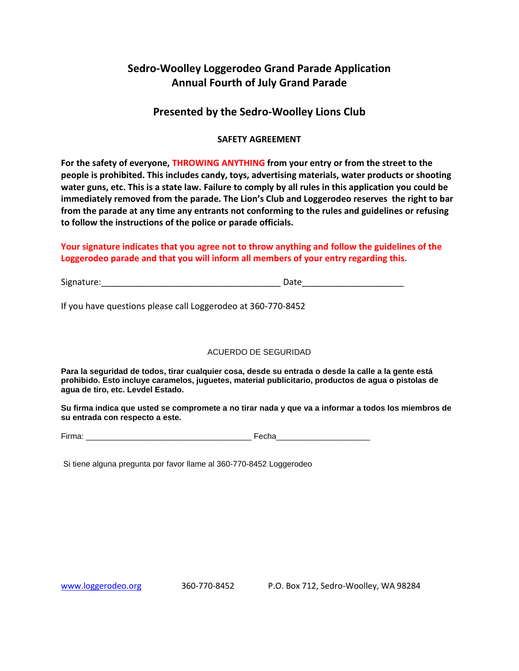## **Sedro-Woolley Loggerodeo Grand Parade Application Annual Fourth of July Grand Parade**

### **Presented by the Sedro-Woolley Lions Club**

#### **SAFETY AGREEMENT**

**For the safety of everyone, THROWING ANYTHING from your entry or from the street to the people is prohibited. This includes candy, toys, advertising materials, water products or shooting water guns, etc. This is a state law. Failure to comply by all rules in this application you could be immediately removed from the parade. The Lion's Club and Loggerodeo reserves the right to bar from the parade at any time any entrants not conforming to the rules and guidelines or refusing to follow the instructions of the police or parade officials.**

#### **Your signature indicates that you agree not to throw anything and follow the guidelines of the Loggerodeo parade and that you will inform all members of your entry regarding this.**

Signature:\_\_\_\_\_\_\_\_\_\_\_\_\_\_\_\_\_\_\_\_\_\_\_\_\_\_\_\_\_\_\_\_\_\_\_\_\_ Date\_\_\_\_\_\_\_\_\_\_\_\_\_\_\_\_\_\_\_\_\_

If you have questions please call Loggerodeo at 360-770-8452

#### ACUERDO DE SEGURIDAD

**Para la seguridad de todos, tirar cualquier cosa, desde su entrada o desde la calle a la gente está prohibido. Esto incluye caramelos, juguetes, material publicitario, productos de agua o pistolas de agua de tiro, etc. Levdel Estado.**

**Su firma indica que usted se compromete a no tirar nada y que va a informar a todos los miembros de su entrada con respecto a este.** 

Firma: \_\_\_\_\_\_\_\_\_\_\_\_\_\_\_\_\_\_\_\_\_\_\_\_\_\_\_\_\_\_\_\_\_\_\_\_\_ Fecha\_\_\_\_\_\_\_\_\_\_\_\_\_\_\_\_\_\_\_\_\_

Si tiene alguna pregunta por favor llame al 360-770-8452 Loggerodeo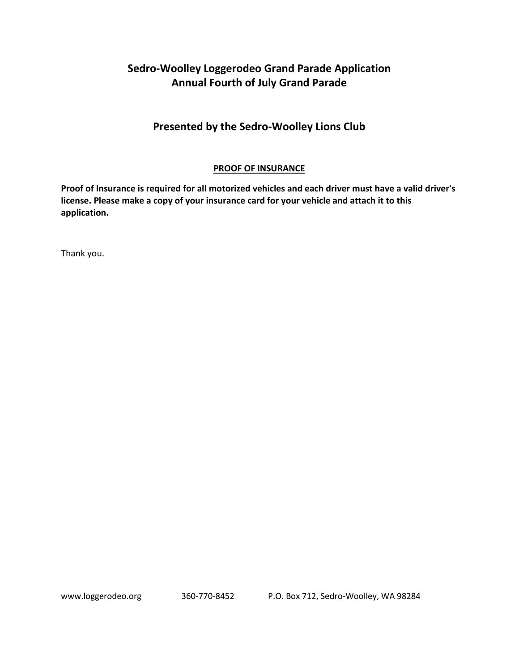# **Sedro-Woolley Loggerodeo Grand Parade Application Annual Fourth of July Grand Parade**

## **Presented by the Sedro-Woolley Lions Club**

### **PROOF OF INSURANCE**

**Proof of Insurance is required for all motorized vehicles and each driver must have a valid driver's license. Please make a copy of your insurance card for your vehicle and attach it to this application.** 

Thank you.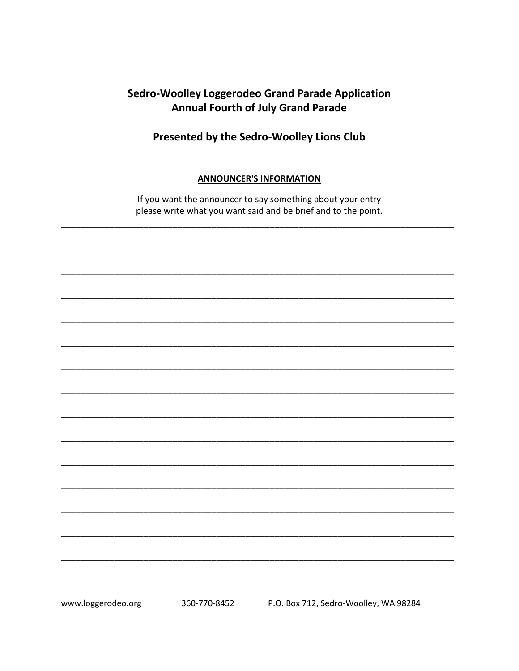## **Sedro-Woolley Loggerodeo Grand Parade Application Annual Fourth of July Grand Parade**

Presented by the Sedro-Woolley Lions Club

### **ANNOUNCER'S INFORMATION**

If you want the announcer to say something about your entry please write what you want said and be brief and to the point.

www.loggerodeo.org 360-770-8452 P.O. Box 712, Sedro-Woolley, WA 98284